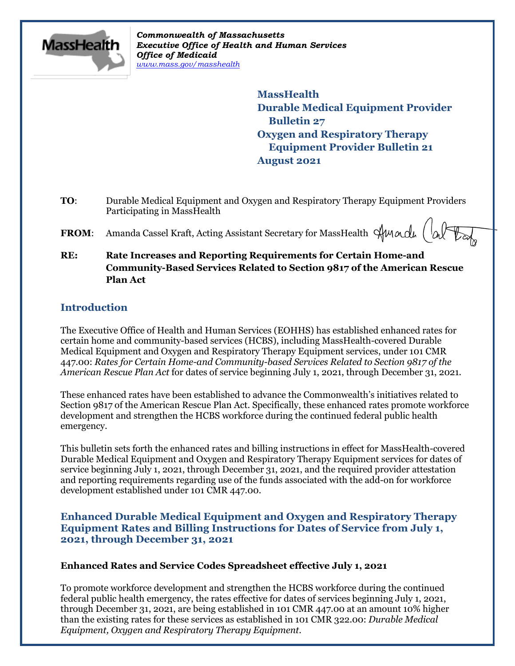

*Commonwealth of Massachusetts Executive Office of Health and Human Services Office of Medicaid [www.mass.gov/masshealth](http://www.mass.gov/masshealth)*

> **MassHealth Durable Medical Equipment Provider Bulletin 27 Oxygen and Respiratory Therapy Equipment Provider Bulletin 21 August 2021**

- **TO**: Durable Medical Equipment and Oxygen and Respiratory Therapy Equipment Providers Participating in MassHealth
- **FROM:** Amanda Cassel Kraft, Acting Assistant Secretary for MassHealth  $\forall$ Mandu  $\begin{pmatrix} \downarrow_{\alpha} & \downarrow_{\alpha} \\ \downarrow_{\alpha} & \downarrow_{\alpha} \end{pmatrix}$
- **RE: Rate Increases and Reporting Requirements for Certain Home-and Community-Based Services Related to Section 9817 of the American Rescue Plan Act**

# **Introduction**

The Executive Office of Health and Human Services (EOHHS) has established enhanced rates for certain home and community-based services (HCBS), including MassHealth-covered Durable Medical Equipment and Oxygen and Respiratory Therapy Equipment services, under 101 CMR 447.00: *Rates for Certain Home-and Community-based Services Related to Section 9817 of the American Rescue Plan Act* for dates of service beginning July 1, 2021, through December 31, 2021.

These enhanced rates have been established to advance the Commonwealth's initiatives related to Section 9817 of the American Rescue Plan Act. Specifically, these enhanced rates promote workforce development and strengthen the HCBS workforce during the continued federal public health emergency.

This bulletin sets forth the enhanced rates and billing instructions in effect for MassHealth-covered Durable Medical Equipment and Oxygen and Respiratory Therapy Equipment services for dates of service beginning July 1, 2021, through December 31, 2021, and the required provider attestation and reporting requirements regarding use of the funds associated with the add-on for workforce development established under 101 CMR 447.00.

**Enhanced Durable Medical Equipment and Oxygen and Respiratory Therapy Equipment Rates and Billing Instructions for Dates of Service from July 1, 2021, through December 31, 2021**

## **Enhanced Rates and Service Codes Spreadsheet effective July 1, 2021**

To promote workforce development and strengthen the HCBS workforce during the continued federal public health emergency, the rates effective for dates of services beginning July 1, 2021, through December 31, 2021, are being established in 101 CMR 447.00 at an amount 10% higher than the existing rates for these services as established in 101 CMR 322.00: *Durable Medical Equipment, Oxygen and Respiratory Therapy Equipment*.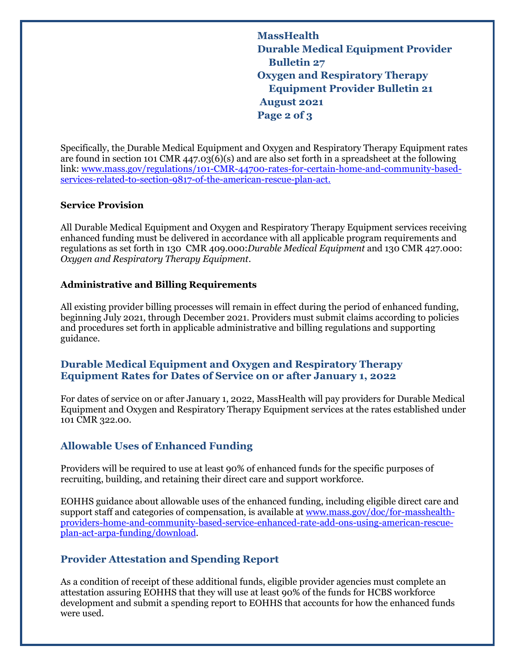**MassHealth Durable Medical Equipment Provider Bulletin 27 Oxygen and Respiratory Therapy Equipment Provider Bulletin 21 August 2021 Page 2 of 3**

Specifically, the Durable Medical Equipment and Oxygen and Respiratory Therapy Equipment rates are found in section 101 CMR 447.03(6)(s) and are also set forth in a spreadsheet at the following link: [www.mass.gov/regulations/101-CMR-44700-rates-for-certain-home-and-community-based](https://www.mass.gov/regulations/101-CMR-44700-rates-for-certain-home-and-community-based-services-related-to-section-9817-of-the-american-rescue-plan-act)[services-related-to-section-9817-of-the-american-rescue-plan-act.](https://www.mass.gov/regulations/101-CMR-44700-rates-for-certain-home-and-community-based-services-related-to-section-9817-of-the-american-rescue-plan-act)

#### **Service Provision**

All Durable Medical Equipment and Oxygen and Respiratory Therapy Equipment services receiving enhanced funding must be delivered in accordance with all applicable program requirements and regulations as set forth in 130 CMR 409.000:*Durable Medical Equipment* and 130 CMR 427.000: *Oxygen and Respiratory Therapy Equipment*.

## **Administrative and Billing Requirements**

All existing provider billing processes will remain in effect during the period of enhanced funding, beginning July 2021, through December 2021. Providers must submit claims according to policies and procedures set forth in applicable administrative and billing regulations and supporting guidance.

## **Durable Medical Equipment and Oxygen and Respiratory Therapy Equipment Rates for Dates of Service on or after January 1, 2022**

For dates of service on or after January 1, 2022, MassHealth will pay providers for Durable Medical Equipment and Oxygen and Respiratory Therapy Equipment services at the rates established under 101 CMR 322.00.

## **Allowable Uses of Enhanced Funding**

Providers will be required to use at least 90% of enhanced funds for the specific purposes of recruiting, building, and retaining their direct care and support workforce.

EOHHS guidance about allowable uses of the enhanced funding, including eligible direct care and support staff and categories of compensation, is available a[t www.mass.gov/doc/for-masshealth](http://www.mass.gov/doc/for-masshealth-providers-home-and-community-based-service-enhanced-rate-add-ons-using-american-rescue-plan-act-arpa-funding/download)[providers-home-and-community-based-service-enhanced-rate-add-ons-using-american-rescue](http://www.mass.gov/doc/for-masshealth-providers-home-and-community-based-service-enhanced-rate-add-ons-using-american-rescue-plan-act-arpa-funding/download)[plan-act-arpa-funding/download.](http://www.mass.gov/doc/for-masshealth-providers-home-and-community-based-service-enhanced-rate-add-ons-using-american-rescue-plan-act-arpa-funding/download)

# **Provider Attestation and Spending Report**

As a condition of receipt of these additional funds, eligible provider agencies must complete an attestation assuring EOHHS that they will use at least 90% of the funds for HCBS workforce development and submit a spending report to EOHHS that accounts for how the enhanced funds were used.